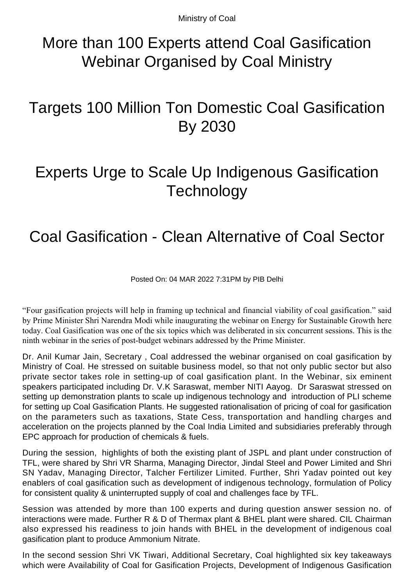Ministry of Coal

## More than 100 Experts attend Coal Gasification Webinar Organised by Coal Ministry

## Targets 100 Million Ton Domestic Coal Gasification By 2030

## Experts Urge to Scale Up Indigenous Gasification **Technology**

## Coal Gasification - Clean Alternative of Coal Sector

Posted On: 04 MAR 2022 7:31PM by PIB Delhi

"Four gasification projects will help in framing up technical and financial viability of coal gasification." said by Prime Minister Shri Narendra Modi while inaugurating the webinar on Energy for Sustainable Growth here today. Coal Gasification was one of the six topics which was deliberated in six concurrent sessions. This is the ninth webinar in the series of post-budget webinars addressed by the Prime Minister.

Dr. Anil Kumar Jain, Secretary , Coal addressed the webinar organised on coal gasification by Ministry of Coal. He stressed on suitable business model, so that not only public sector but also private sector takes role in setting-up of coal gasification plant. In the Webinar, six eminent speakers participated including Dr. V.K Saraswat, member NITI Aayog. Dr Saraswat stressed on setting up demonstration plants to scale up indigenous technology and introduction of PLI scheme for setting up Coal Gasification Plants. He suggested rationalisation of pricing of coal for gasification on the parameters such as taxations, State Cess, transportation and handling charges and acceleration on the projects planned by the Coal India Limited and subsidiaries preferably through EPC approach for production of chemicals & fuels.

During the session, highlights of both the existing plant of JSPL and plant under construction of TFL, were shared by Shri VR Sharma, Managing Director, Jindal Steel and Power Limited and Shri SN Yadav, Managing Director, Talcher Fertilizer Limited. Further, Shri Yadav pointed out key enablers of coal gasification such as development of indigenous technology, formulation of Policy for consistent quality & uninterrupted supply of coal and challenges face by TFL.

Session was attended by more than 100 experts and during question answer session no. of interactions were made. Further R & D of Thermax plant & BHEL plant were shared. CIL Chairman also expressed his readiness to join hands with BHEL in the development of indigenous coal gasification plant to produce Ammonium Nitrate.

In the second session Shri VK Tiwari, Additional Secretary, Coal highlighted six key takeaways which were Availability of Coal for Gasification Projects, Development of Indigenous Gasification